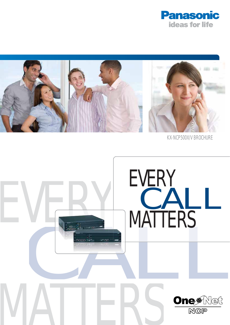



KX-NCP500X/V BROCHURE

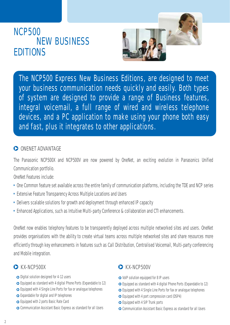# **NCP500 EDITIONS NEW BUSINESS**



The NCP500 Express New Business Editions, are designed to meet your business communication needs quickly and easily. Both types of system are designed to provide a range of Business features, integral voicemail, a full range of wired and wireless telephone devices, and a PC application to make using your phone both easy and fast, plus it integrates to other applications.

### **O** ONENET ADVANTAGE

The Panasonic NCP500X and NCP500V are now powered by OneNet, an exciting evolution in Panasonics Unified Communication portfolio.

OneNet Features include:

- One Common feature set available across the entire family of communication platforms, including the TDE and NCP series
- Extensive Feature Transparency Across Multiple Locations and Users
- Delivers scalable solutions for growth and deployment through enhanced IP capacity
- Enhanced Applications, such as Intuitive Multi-party Conference & collaboration and CTI enhancements.

OneNet now enables telephony features to be transparently deployed across multiple networked sites and users. OneNet provides organisations with the ability to create virtual teams across multiple networked sites and share resources more efficiently through key enhancements in features such as Call Distribution, Centralised Voicemail, Multi-party conferencing and Mobile integration.

- **◯** Digital solution designed for 4-12 users
- Equipped as standard with 4 digital Phone Ports (Expandable to 12)
- Equipped with 4 Single Line Ports for fax or analogue telephones
- Expandable for digital and IP telephones
- Equipped with 2 ports Basic Rate Card
- Communication Assistant Basic Express as standard for all Users

#### **KX-NCP500X KX-NCP500V**

- $\bullet$  VoIP solution equipped for 8 IP users
- Equipped as standard with 4 digital Phone Ports (Expandable to 12)
- Equipped with 4 Single Line Ports for fax or analogue telephones
- Equipped with 4 port compression card (DSP4)
- Equipped with 4 SIP Trunk ports
- Communication Assistant Basic Express as standard for all Users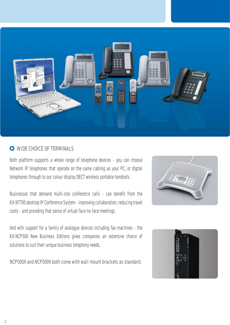

#### **WIDE CHOICE OF TERMINALS**

Both platform supports a whole range of telephone devices - you can choose Network IP telephones that operate on the same cabling as your PC, or digital telephones through to our colour display DECT wireless portable handsets.

Businesses that demand multi-site conference calls - can benefit from the KX-NT700 desktop IP Conference System - improving collaboration, reducing travel costs - and providing that sense of virtual face-to-face meetings.

And with support for a family of analogue devices including fax machines - the KX-NCP500 New Business Editions gives companies an extensive choice of solutions to suit their unique business telephony needs.

**NCP500X and NCP500V both come with wall mount brackets as standard.**



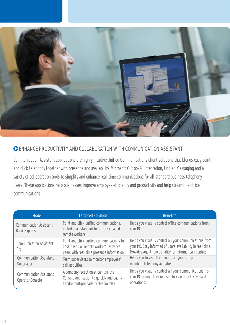

#### **ENHANCE PRODUCTIVITY AND COLLABORATION WITH COMMUNICATION ASSISTANT**

Communication Assistant applications are highly intuitive Unified Communications client solutions that blends easy point and click telephony together with presence and availability, Microsoft Outlook® integration, Unified Messaging and a variety of collaboration tools to simplify and enhance real-time communications for all standard business telephony users. These applications help businesses improve employee efficiency and productivity and help streamline office communications.

| <b>Mode</b>                                            | <b>Targeted Solution</b>                                                                                                           | <b>Benefits</b>                                                                                                                                                                  |
|--------------------------------------------------------|------------------------------------------------------------------------------------------------------------------------------------|----------------------------------------------------------------------------------------------------------------------------------------------------------------------------------|
| <b>Communication Assistant</b><br><b>Basic Express</b> | Point and click unified communications,<br>included as standard for all desk based or<br>remote workers.                           | Helps you visually control office communications from<br>your PC.                                                                                                                |
| <b>Communication Assistant</b><br>Pro                  | Point and click unified communications for<br>desk based or remote workers. Provides<br>users with real-time presence information. | Helps you visually control all your communications from<br>your PC. Stay informed of users availability in real-time.<br>Provides Agent functionality for informal call centres. |
| <b>Communication Assistant</b><br>Supervisor           | Team supervisors to monitor employees'<br>call activities.                                                                         | Helps you to visually manage all your group<br>members telephony activities.                                                                                                     |
| <b>Communication Assistant</b><br>Operator Console     | A company receptionist can use the<br>Console application to quickly and easily<br>handle multiple calls professionally.           | Helps you visually control all your communications from<br>your PC using either mouse clicks or quick keyboard<br>operations.                                                    |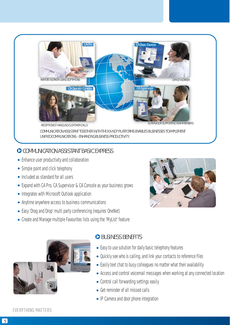

**COMMUNICATION ASSISTANT TOGETHER WITH THE KX-NCP PLATFORMS ENABLES BUSINESSES TO IMPLEMENT UNIFIED COMMUNICATIONS - ENHANCING BUSINESS PRODUCTIVITY.**

# **COMMUNICATION ASSISTANT BASIC EXPRESS**

- Enhance user productivity and collaboration
- Simple point and click telephony
- Included as standard for all users
- Expand with CA Pro, CA Supervisor & CA Console as your business grows
- Integrates with Microsoft Outlook application
- Anytime anywhere access to business communications
- Easy 'Drag and Drop' multi party conferencing (requires OneNet)
- Create and Manage multiple Favourites lists using the 'MyList' feature





## **BUSINESS BENEFITS**

- Easy to use solution for daily basic telephony features
- Quickly see who is calling, and link your contacts to reference files
- Easily text chat to busy colleagues no matter what their availability
- Access and control voicemail messages when working at any connected location
- Control call forwarding settings easily
- Get reminder of all missed calls
- IP Camera and door phone integration

#### **EVERYTHING MATTERS**